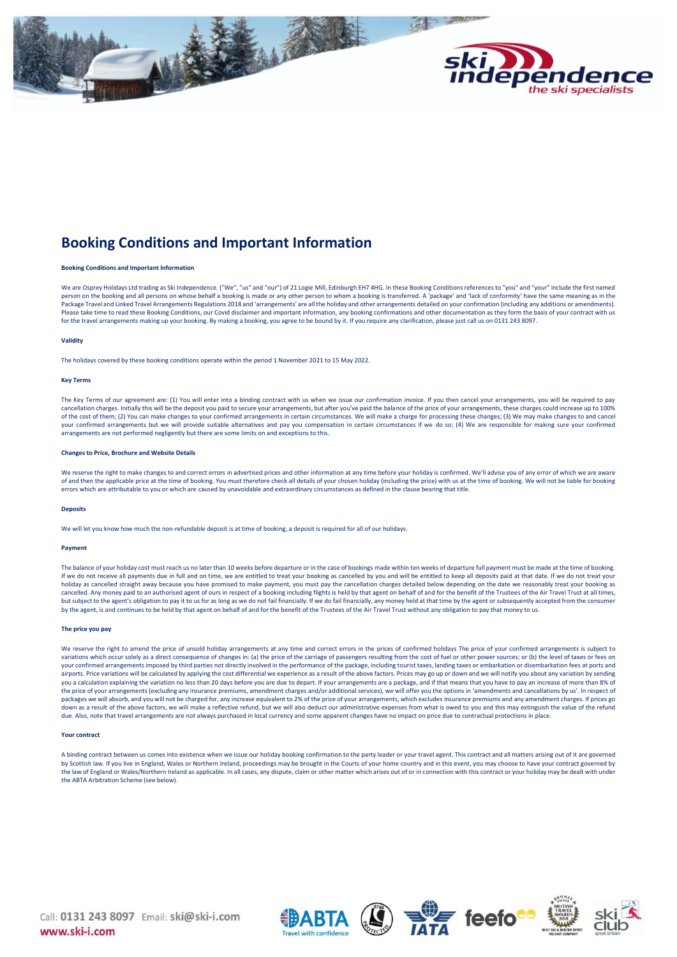

# **Booking Conditions and Important Information**

# **Booking Conditions and Important Information**

We are Osprey Holidays Ltd trading as Ski Independence. ("We", "us" and "our") of 21 Logie Mill, Edinburgh EH7 4HG. In these Booking Conditions references to "you" and "your" include the first named person on the booking and all persons on whose behalf a booking is made or any other person to whom a booking is transferred. A 'package' and 'lack of conformity' have the same meaning as in the Package Travel and Linked Travel Arrangements Regulations 2018 and 'arrangements' are all the holiday and other arrangements detailed on your confirmation (including any additions or amendments). Please take time to read these Booking Conditions, our Covid disclaimer and important information, any booking confirmations and other documentation as they form the basis of your contract with us for the travel arrangements making up your booking. By making a booking, you agree to be bound by it. If you require any clarification, please just call us on 0131 243 8097.

# **Validity**

The holidays covered by these booking conditions operate within the period 1 November 2021 to 15 May 2022.

### **Key Terms**

The Key Terms of our agreement are: (1) You will enter into a binding contract with us when we issue our confirmation invoice. If you then cancel your arrangements, you will be required to pay cancellation charges. Initially this will be the deposit you paid to secure your arrangements, but after you've paid the balance of the price of your arrangements, these charges could increase up to 100% of the cost of them; (2) You can make changes to your confirmed arrangements in certain circumstances. We will make a charge for processing these changes; (3) We may make changes to and cancel<br>your confirmed arrangements b arrangements are not performed negligently but there are some limits on and exceptions to this.

# **Changes to Price, Brochure and Website Details**

We reserve the right to make changes to and correct errors in advertised prices and other information at any time before your holiday is confirmed. We'll advise you of any error of which we are aware of and then the applicable price at the time of booking. You must therefore check all details of your chosen holiday (including the price) with us at the time of booking. We will not be liable for booking errors which are attributable to you or which are caused by unavoidable and extraordinary circumstances as defined in the clause bearing that title.

### **Deposits**

We will let you know how much the non-refundable deposit is at time of booking, a deposit is required for all of our holidays.

### **Payment**

The balance of your holiday cost must reach us no later than 10 weeks before departure or in the case of bookings made within ten weeks of departure full payment must be made at the time of booking. If we do not receive all payments due in full and on time, we are entitled to treat your booking as cancelled by you and will be entitled to keep all deposits paid at that date. If we do not treat your holiday as cancelled straight away because you have promised to make payment, you must pay the cancellation charges detailed below depending on the date we reasonably treat your booking as<br>cancelled. Any money paid to an a but subject to the agent's obligation to pay it to us for as long as we do not fail financially. If we do fail financially, any money held at that time by the agent or subsequently accepted from the consumer<br>by the agent,

# **The price you pay**

We reserve the right to amend the price of unsold holiday arrangements at any time and correct errors in the prices of confirmed holidays The price of your confirmed arrangements is subject to variations which occur solely as a direct consequence of changes in: (a) the price of the carriage of passengers resulting from the cost of fuel or other power sources; or (b) the level of taxes or fees on your confirmed arrangements imposed by third parties not directly involved in the performance of the package, including tourist taxes, landing taxes or embarkation or disembarkation fees at ports and airports. Price variations will be calculated by applying the cost differential we experience as a result of the above factors. Prices may go up or down and we will notify you about any variation by sending you a calculation explaining the variation no less than 20 days before you are due to depart. If your arrangements are a package, and if that means that you have to pay an increase of more than 8% of the price of your arrangements (excluding any insurance premiums, amendment charges and/or additional services), we will offer you the options in 'amendments and cancellations by us'. In respect of<br>packages we will absorb, down as a result of the above factors, we will make a reflective refund, but we will also deduct our administrative expenses from what is owed to you and this may extinguish the value of the refund<br>due. Also, note that tra

#### **Your contract**

A binding contract between us comes into existence when we issue our holiday booking confirmation to the party leader or your travel agent. This contract and all matters arising out of it are governed<br>by Scottish law. If y the law of England or Wales/Northern Ireland as applicable. In all cases, any dispute, claim or other matter which arises out of or in connection with this contract or your holiday may be dealt with under the ABTA Arbitration Scheme (see below).



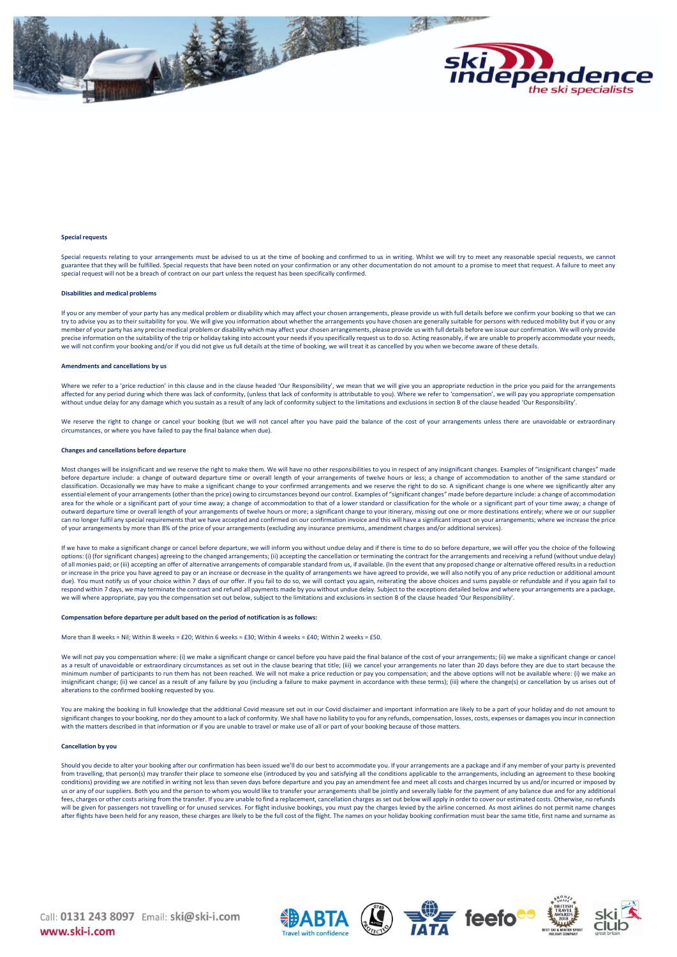

### **Special requests**

Special requests relating to your arrangements must be advised to us at the time of booking and confirmed to us in writing. Whilst we will try to meet any reasonable special requests, we cannot guarantee that they will be fulfilled. Special requests that have been noted on your confirmation or any other documentation do not amount to a promise to meet that request. A failure to meet any special request will not be a breach of contract on our part unless the request has been specifically confirmed.

# **Disabilities and medical problems**

If you or any member of your party has any medical problem or disability which may affect your chosen arrangements, please provide us with full details before we confirm your booking so that we can try to advise you as to their suitability for you. We will give you information about whether the arrangements you have chosen are generally suitable for persons with reduced mobility but if you or any<br>member of your party precise information on the suitability of the trip or holiday taking into account your needs if you specifically request us to do so. Acting reasonably, if we are unable to properly accommodate your needs, we will not confirm your booking and/or if you did not give us full details at the time of booking, we will treat it as cancelled by you when we become aware of these details.

# **Amendments and cancellations by us**

Where we refer to a 'price reduction' in this clause and in the clause headed 'Our Responsibility', we mean that we will give you an appropriate reduction in the price you paid for the arrangements affected for any period during which there was lack of conformity, (unless that lack of conformity is attributable to you). Where we refer to 'compensation', we will pay you appropriate compensation without undue delay for any damage which you sustain as a result of any lack of conformity subject to the limitations and exclusions in section B of the clause headed 'Our Responsibility'.

We reserve the right to change or cancel your booking (but we will not cancel after you have paid the balance of the cost of your arrangements unless there are unavoidable or extraordinary circumstances, or where you have failed to pay the final balance when due).

### **Changes and cancellations before departure**

Most changes will be insignificant and we reserve the right to make them. We will have no other responsibilities to you in respect of any insignificant changes. Examples of "insignificant changes" made before departure include: a change of outward departure time or overall length of your arrangements of twelve hours or less; a change of accommodation to another of the same standard or classification. Occasionally we may have to make a significant change to your confirmed arrangements and we reserve the right to do so. A significant change is one where we significantly alter any<br>essential element of your area for the whole or a significant part of your time away; a change of accommodation to that of a lower standard or classification for the whole or a significant part of your time away; a change of outward departure time or overall length of your arrangements of twelve hours or more; a significant change to your itinerary, missing out one or more destinations entirely; where we or our supplier can no longer fulfil any special requirements that we have accepted and confirmed on our confirmation invoice and this will have a significant impact on your arrangements; where we increase the price of your arrangements by more than 8% of the price of your arrangements (excluding any insurance premiums, amendment charges and/or additional services).

If we have to make a significant change or cancel before departure, we will inform you without undue delay and if there is time to do so before departure, we will offer you the choice of the following options: (i) (for significant changes) agreeing to the changed arrangements; (ii) accepting the cancellation or terminating the contract for the arrangements and receiving a refund (without undue delay) of all monies paid; or (iii) accepting an offer of alternative arrangements of comparable standard from us, if available. (In the event that any proposed change or alternative offered results in a reduction or increase in the price you have agreed to pay or an increase or decrease in the quality of arrangements we have agreed to provide, we will also notify you of any price reduction or additional amount<br>due). You must notify respond within 7 days, we may terminate the contract and refund all payments made by you without undue delay. Subject to the exceptions detailed below and where your arrangements are a package, we will where appropriate, pay you the compensation set out below, subject to the limitations and exclusions in section B of the clause headed 'Our Responsibility'.

### **Compensation before departure per adult based on the period of notification is as follows:**

More than 8 weeks = Nil; Within 8 weeks =  $f$ 20; Within 6 weeks =  $f$ 30; Within 4 weeks =  $f$ 40; Within 2 weeks =  $f$ 50.

We will not pay you compensation where: (i) we make a significant change or cancel before you have paid the final balance of the cost of your arrangements; (ii) we make a significant change or cancel as a result of unavoidable or extraordinary circumstances as set out in the clause bearing that tile; (iii) we cancel your arrangements no later than 20 days before they are due to start because the<br>minimum number of parti insignificant change; (ii) we cancel as a result of any failure by you (including a failure to make payment in accordance with these terms); (iii) where the change(s) or cancellation by us arises out of<br>alterations to the

You are making the booking in full knowledge that the additional Covid measure set out in our Covid disclaimer and important information are likely to be a part of your holiday and do not amount to<br>significant changes to y with the matters described in that information or if you are unable to travel or make use of all or part of your booking because of those matters.

### **Cancellation by you**

Should you decide to alter your booking after our confirmation has been issued we'll do our best to accommodate you. If your arrangements are a package and if any member of your party is prevented from travelling, that person(s) may transfer their place to someone else (introduced by you and satisfying all the conditions applicable to the arrangements, including an agreement to these booking<br>conditions) providing we us or any of our suppliers. Both you and the person to whom you would like to transfer your arrangements shall be jointly and severally liable for the payment of any balance due and for any additional fees, charges or other costs arising from the transfer. If you are unable to find a replacement, cancellation charges as set out below will apply in order to cover our estimated costs. Otherwise, no refunds will be given for passengers not travelling or for unused services. For flight inclusive bookings, you must pay the charges levied by the airline concerned. As most airlines do not permit name changes after flights have been held for any reason, these charges are likely to be the full cost of the flight. The names on your holiday booking confirmation must bear the same title, first name and surname as



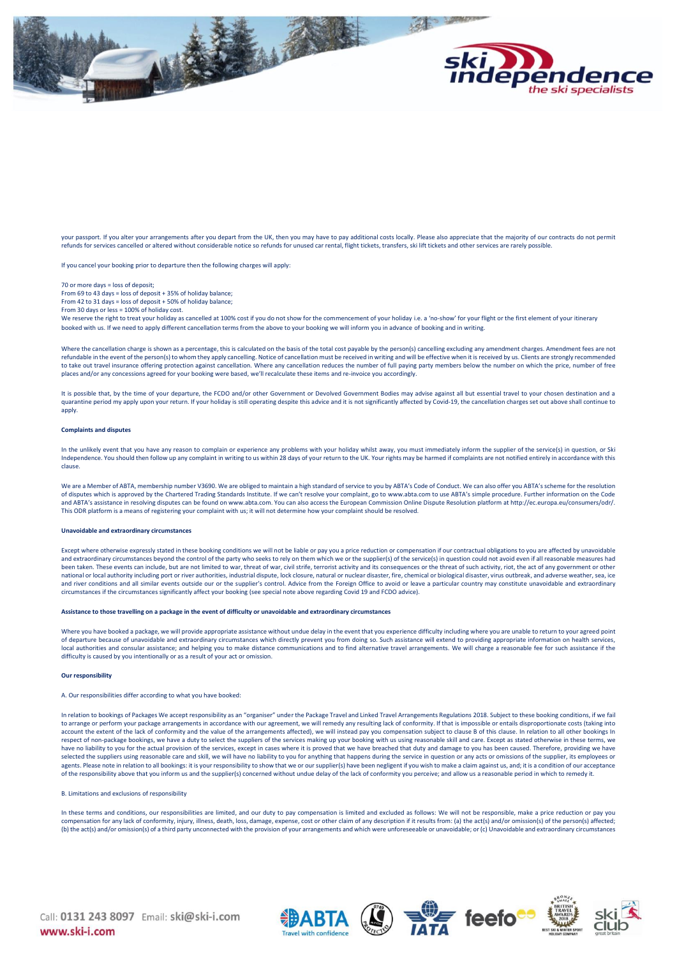

your passport. If you alter your arrangements after you depart from the UK, then you may have to pay additional costs locally. Please also appreciate that the majority of our contracts do not permit refunds for services cancelled or altered without considerable notice so refunds for unused car rental, flight tickets, transfers, ski lift tickets and other services are rarely possible.

If you cancel your booking prior to departure then the following charges will apply:

70 or more days = loss of deposit; From 69 to 43 days = loss of deposit + 35% of holiday balance; From 42 to 31 days = loss of deposit + 50% of holiday balance; From 30 days or less = 100% of holiday cost. We reserve the right to treat your holiday as cancelled at 100% cost if you do not show for the commencement of your holiday i.e. a 'no-show' for your flight or the first element of your itinerary

booked with us. If we need to apply different cancellation terms from the above to your booking we will inform you in advance of booking and in writing. Where the cancellation charge is shown as a percentage, this is calculated on the basis of the total cost payable by the person(s) cancelling excluding any amendment charges. Amendment fees are not

refundable in the event of the person(s) to whom they apply cancelling. Notice of cancellation must be received in writing and will be effective when it is received by us. Clients are strongly recommended to take out travel insurance offering protection against cancellation. Where any cancellation reduces the number of full paying party members below the number on which the price, number of free places and/or any concessions agreed for your booking were based, we'll recalculate these items and re-invoice you accordingly.

It is possible that, by the time of your departure, the FCDO and/or other Government or Devolved Government Bodies may advise against all but essential travel to your chosen destination and a quarantine period my apply upon your return. If your holiday is still operating despite this advice and it is not significantly affected by Covid-19, the cancellation charges set out above shall continue to apply.

# **Complaints and disputes**

In the unlikely event that you have any reason to complain or experience any problems with your holiday whilst away, you must immediately inform the supplier of the service(s) in question, or Ski Independence. You should then follow up any complaint in writing to us within 28 days of your return to the UK. Your rights may be harmed if complaints are not notified entirely in accordance with this clause.

We are a Member of ABTA, membership number V3690. We are obliged to maintain a high standard of service to you by ABTA's Code of Conduct. We can also offer you ABTA's scheme for the resolution of disputes which is approved by the Chartered Trading Standards Institute. If we can't resolve your complaint, go to www.abta.com to use ABTA's simple procedure. Further information on the Code and ABTA's assistance in resolving disputes can be found on www.abta.com. You can also access the European Commission Online Dispute Resolution platform at http://ec.europa.eu/consumers/odr/. This ODR platform is a means of registering your complaint with us; it will not determine how your complaint should be resolved.

### **Unavoidable and extraordinary circumstances**

Except where otherwise expressly stated in these booking conditions we will not be liable or pay you a price reduction or compensation if our contractual obligations to you are affected by unavoidable and extraordinary circumstances beyond the control of the party who seeks to rely on them which we or the supplier(s) of the service(s) in question could not avoid even if all reasonable measures had and extraordinary circ been taken. These events can include, but are not limited to war, threat of war, civil strife, terrorist activity and its consequences or the threat of such activity, riot, the act of any government or other national or local authority including port or river authorities, industrial dispute, lock closure, natural or nuclear disaster, fire, chemical or biological disaster, virus outbreak, and adverse weather, sea, ice and river conditions and all similar events outside our or the supplier's control. Advice from the Foreign Office to avoid or leave a particular country may constitute unavoidable and extraordinary circumstances if the circumstances significantly affect your booking (see special note above regarding Covid 19 and FCDO advice).

# **Assistance to those travelling on a package in the event of difficulty or unavoidable and extraordinary circumstances**

Where you have booked a package, we will provide appropriate assistance without undue delay in the event that you experience difficulty including where you are unable to return to your agreed point of departure because of unavoidable and extraordinary circumstances which directly prevent you from doing so. Such assistance will extend to providing appropriate information on health services, local authorities and consular assistance; and helping you to make distance communications and to find alternative travel arrangements. We will charge a reasonable fee for such assistance if the difficulty is caused by you intentionally or as a result of your act or omission.

# **Our responsibility**

A. Our responsibilities differ according to what you have booked:

In relation to bookings of Packages We accept responsibility as an "organiser" under the Package Travel and Linked Travel Arrangements Regulations 2018. Subject to these booking conditions, if we fail to arrange or perform your package arrangements in accordance with our agreement, we will remedy any resulting lack of conformity. If that is impossible or entails disproportionate costs (taking into account the extent of the lack of conformity and the value of the arrangements affected), we will instead pay you compensation subject to clause B of this clause. In relation to all other bookings In<br>respect of non-package have no liability to you for the actual provision of the services, except in cases where it is proved that we have breached that duty and damage to you has been caused. Therefore, providing we have selected the suppliers using reasonable care and skill, we will have no liability to you for anything that happens during the service in question or any acts or omissions of the supplier, its employees or agents. Please note in relation to all bookings: it is your responsibility to show that we or our supplier(s) have been negligent if you wish to make a claim against us, and; it is a condition of our acceptance of the responsibility above that you inform us and the supplier(s) concerned without undue delay of the lack of conformity you perceive; and allow us a reasonable period in which to remedy it.

# B. Limitations and exclusions of responsibility

In these terms and conditions, our responsibilities are limited, and our duty to pay compensation is limited and excluded as follows: We will not be responsible, make a price reduction or pay you compensation for any lack of conformity, injury, illness, death, loss, damage, expense, cost or other claim of any description if it results from: (a) the act(s) and/or omission(s) of the person(s) affected; (b) the act(s) and/or omission(s) of a third party unconnected with the provision of your arrangements and which were unforeseeable or unavoidable; or (c) Unavoidable and extraordinary circumstances

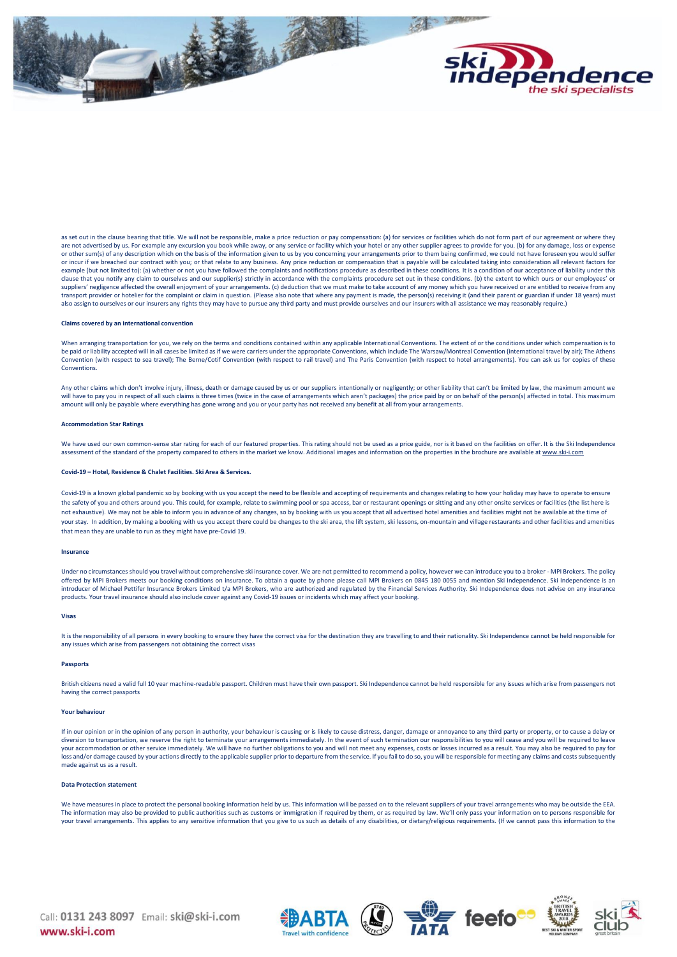

as set out in the clause bearing that title. We will not be responsible, make a price reduction or pay compensation: (a) for services or facilities which do not form part of our agreement or where they are not advertised by us. For example any excursion you book while away, or any service or facility which your hotel or any other supplier agrees to provide for you. (b) for any damage, loss or expense or other sum(s) of any description which on the basis of the information given to us by you concerning your arrangements prior to them being confirmed, we could not have foreseen you would suffer<br>or incur if we breached ou example (but not limited to): (a) whether or not you have followed the complaints and notifications procedure as described in these conditions. It is a condition of our acceptance of liability under this clause that you notify any claim to ourselves and our supplier(s) strictly in accordance with the complaints procedure set out in these conditions. (b) the extent to which ours or our employees' or suppliers' negligence affected the overall enjoyment of your arrangements. (c) deduction that we must make to take account of any money which you have received or are entitled to receive from any transport provider or hotelier for the complaint or claim in question. (Please also note that where any payment is made, the person(s) receiving it (and their parent or guardian if under 18 years) must<br>also assign to ourse

#### **Claims covered by an international convention**

When arranging transportation for you, we rely on the terms and conditions contained within any applicable International Conventions. The extent of or the conditions under which compensation is to<br>be paid or liability acce Convention (with respect to sea travel); The Berne/Cotif Convention (with respect to rail travel) and The Paris Convention (with respect to hotel arrangements). You can ask us for copies of these **Conventions** 

Any other claims which don't involve injury, illness, death or damage caused by us or our suppliers intentionally or negligently; or other liability that can't be limited by law, the maximum amount we will have to pay you in respect of all such claims is three times (twice in the case of arrangements which aren't packages) the price paid by or on behalf of the person(s) affected in total. This maximum amount will only be payable where everything has gone wrong and you or your party has not received any benefit at all from your arrangements.

### **Accommodation Star Ratings**

We have used our own common-sense star rating for each of our featured properties. This rating should not be used as a price guide, nor is it based on the facilities on offer. It is the Ski Independence assessment of the standard of the property compared to others in the market we know. Additional images and information on the properties in the brochure are available a[t www.ski-i.com](http://www.ski-i.com/)

### **Covid-19 – Hotel, Residence & Chalet Facilities. Ski Area & Services.**

Covid-19 is a known global pandemic so by booking with us you accept the need to be flexible and accepting of requirements and changes relating to how your holiday may have to operate to ensure the safety of you and others around you. This could, for example, relate to swimming pool or spa access, bar or restaurant openings or sitting and any other onsite services or facilities (the list here is not exhaustive). We may not be able to inform you in advance of any changes, so by booking with us you accept that all advertised hotel amenities and facilities might not be available at the time of your stay. In addition, by making a booking with us you accept there could be changes to the ski area, the lift system, ski lessons, on-mountain and village restaurants and other facilities and amenities that mean they are unable to run as they might have pre-Covid 19.

#### **Insurance**

Under no circumstances should you travel without comprehensive ski insurance cover. We are not permitted to recommend a policy, however we can introduce you to a broker - MPI Brokers. The policy offered by MPI Brokers meets our booking conditions on insurance. To obtain a quote by phone please call MPI Brokers on 0845 180 0055 and mention Ski Independence. Ski Independence is an introducer of Michael Pettifer Insurance Brokers Limited t/a MPI Brokers, who are authorized and regulated by the Financial Services Authority. Ski Independence does not advise on any insurance products. Your travel insurance should also include cover against any Covid-19 issues or incidents which may affect your booking.

### **Visas**

It is the responsibility of all persons in every booking to ensure they have the correct visa for the destination they are travelling to and their nationality. Ski Independence cannot be held responsible for any issues which arise from passengers not obtaining the correct visas

### **Passports**

British citizens need a valid full 10 year machine-readable passport. Children must have their own passport. Ski Independence cannot be held responsible for any issues which arise from passengers not having the correct passports

### **Your behaviou**

If in our opinion or in the opinion of any person in authority, your behaviour is causing or is likely to cause distress, danger, damage or annoyance to any third party or property, or to cause a delay or diversion to transportation, we reserve the right to terminate your arrangements immediately. In the event of such termination our responsibilities to you will cease and you will be required to leave your accommodation or other service immediately. We will have no further obligations to you and will not meet any expenses, costs or losses incurred as a result. You may also be required to pay for loss and/or damage caused by your actions directly to the applicable supplier prior to departure from the service. If you fail to do so, you will be responsible for meeting any claims and costs subsequently made against us as a result.

#### **Data Protection statement**

We have measures in place to protect the personal booking information held by us. This information will be passed on to the relevant suppliers of your travel arrangements who may be outside the EEA. The information may also be provided to public authorities such as customs or immigration if required by them, or as required by law. We'll only pass your information on to persons responsible for your travel arrangements. This applies to any sensitive information that you give to us such as details of any disabilities, or dietary/religious requirements. (If we cannot pass this information to the